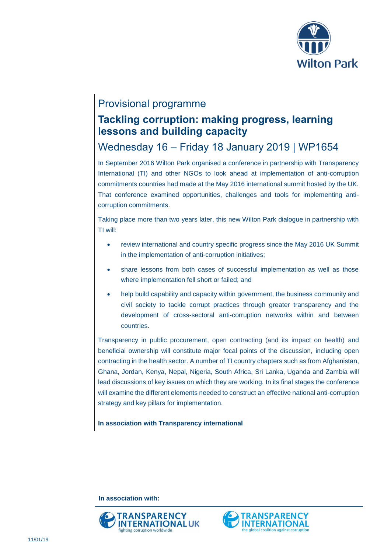

## Provisional programme

## **Tackling corruption: making progress, learning lessons and building capacity**

# Wednesday 16 – Friday 18 January 2019 | WP1654

In September 2016 Wilton Park organised a conference in partnership with Transparency International (TI) and other NGOs to look ahead at implementation of anti-corruption commitments countries had made at the May 2016 international summit hosted by the UK. That conference examined opportunities, challenges and tools for implementing anticorruption commitments.

Taking place more than two years later, this new Wilton Park dialogue in partnership with TI will:

- review international and country specific progress since the May 2016 UK Summit in the implementation of anti-corruption initiatives;
- share lessons from both cases of successful implementation as well as those where implementation fell short or failed; and
- help build capability and capacity within government, the business community and civil society to tackle corrupt practices through greater transparency and the development of cross-sectoral anti-corruption networks within and between countries.

Transparency in public procurement, open contracting (and its impact on health) and beneficial ownership will constitute major focal points of the discussion, including open contracting in the health sector. A number of TI country chapters such as from Afghanistan, Ghana, Jordan, Kenya, Nepal, Nigeria, South Africa, Sri Lanka, Uganda and Zambia will lead discussions of key issues on which they are working. In its final stages the conference will examine the different elements needed to construct an effective national anti-corruption strategy and key pillars for implementation.

**In association with Transparency international**

**In association with:**



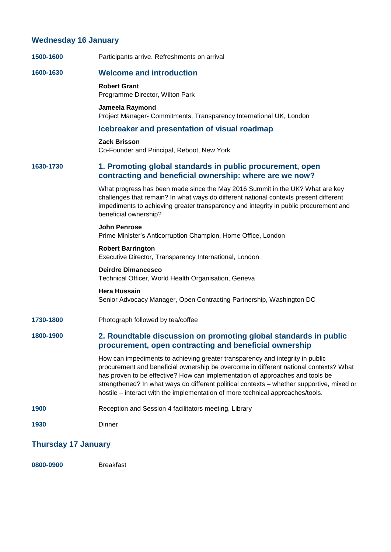## **Wednesday 16 January**

| 1500-1600 | Participants arrive. Refreshments on arrival                                                                                                                                                                                                                                                                                                                                                                                           |
|-----------|----------------------------------------------------------------------------------------------------------------------------------------------------------------------------------------------------------------------------------------------------------------------------------------------------------------------------------------------------------------------------------------------------------------------------------------|
| 1600-1630 | <b>Welcome and introduction</b>                                                                                                                                                                                                                                                                                                                                                                                                        |
|           | <b>Robert Grant</b><br>Programme Director, Wilton Park                                                                                                                                                                                                                                                                                                                                                                                 |
|           | Jameela Raymond<br>Project Manager- Commitments, Transparency International UK, London                                                                                                                                                                                                                                                                                                                                                 |
|           | Icebreaker and presentation of visual roadmap                                                                                                                                                                                                                                                                                                                                                                                          |
|           | <b>Zack Brisson</b><br>Co-Founder and Principal, Reboot, New York                                                                                                                                                                                                                                                                                                                                                                      |
| 1630-1730 | 1. Promoting global standards in public procurement, open<br>contracting and beneficial ownership: where are we now?                                                                                                                                                                                                                                                                                                                   |
|           | What progress has been made since the May 2016 Summit in the UK? What are key<br>challenges that remain? In what ways do different national contexts present different<br>impediments to achieving greater transparency and integrity in public procurement and<br>beneficial ownership?                                                                                                                                               |
|           | <b>John Penrose</b><br>Prime Minister's Anticorruption Champion, Home Office, London                                                                                                                                                                                                                                                                                                                                                   |
|           | <b>Robert Barrington</b><br>Executive Director, Transparency International, London                                                                                                                                                                                                                                                                                                                                                     |
|           | <b>Deirdre Dimancesco</b><br>Technical Officer, World Health Organisation, Geneva                                                                                                                                                                                                                                                                                                                                                      |
|           | <b>Hera Hussain</b><br>Senior Advocacy Manager, Open Contracting Partnership, Washington DC                                                                                                                                                                                                                                                                                                                                            |
| 1730-1800 | Photograph followed by tea/coffee                                                                                                                                                                                                                                                                                                                                                                                                      |
| 1800-1900 | 2. Roundtable discussion on promoting global standards in public<br>procurement, open contracting and beneficial ownership                                                                                                                                                                                                                                                                                                             |
|           | How can impediments to achieving greater transparency and integrity in public<br>procurement and beneficial ownership be overcome in different national contexts? What<br>has proven to be effective? How can implementation of approaches and tools be<br>strengthened? In what ways do different political contexts - whether supportive, mixed or<br>hostile – interact with the implementation of more technical approaches/tools. |
| 1900      | Reception and Session 4 facilitators meeting, Library                                                                                                                                                                                                                                                                                                                                                                                  |
| 1930      | Dinner                                                                                                                                                                                                                                                                                                                                                                                                                                 |
|           |                                                                                                                                                                                                                                                                                                                                                                                                                                        |

## **Thursday 17 January**

**0800-0900** Breakfast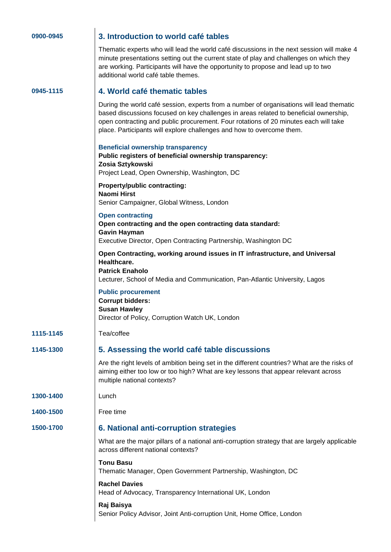| 0900-0945 |  |  |  |  |  |
|-----------|--|--|--|--|--|
|-----------|--|--|--|--|--|

#### **0900-0945 3. Introduction to world café tables**

Thematic experts who will lead the world café discussions in the next session will make 4 minute presentations setting out the current state of play and challenges on which they are working. Participants will have the opportunity to propose and lead up to two additional world café table themes.

#### **0945-1115 4. World café thematic tables**

During the world café session, experts from a number of organisations will lead thematic based discussions focused on key challenges in areas related to beneficial ownership, open contracting and public procurement. Four rotations of 20 minutes each will take place. Participants will explore challenges and how to overcome them.

|           | <b>Beneficial ownership transparency</b><br>Public registers of beneficial ownership transparency:<br>Zosia Sztykowski<br>Project Lead, Open Ownership, Washington, DC                                             |
|-----------|--------------------------------------------------------------------------------------------------------------------------------------------------------------------------------------------------------------------|
|           | Property/public contracting:<br><b>Naomi Hirst</b><br>Senior Campaigner, Global Witness, London                                                                                                                    |
|           | <b>Open contracting</b><br>Open contracting and the open contracting data standard:<br><b>Gavin Hayman</b><br>Executive Director, Open Contracting Partnership, Washington DC                                      |
|           | Open Contracting, working around issues in IT infrastructure, and Universal<br>Healthcare.<br><b>Patrick Enaholo</b><br>Lecturer, School of Media and Communication, Pan-Atlantic University, Lagos                |
|           | <b>Public procurement</b><br><b>Corrupt bidders:</b><br><b>Susan Hawley</b><br>Director of Policy, Corruption Watch UK, London                                                                                     |
| 1115-1145 | Tea/coffee                                                                                                                                                                                                         |
| 1145-1300 | 5. Assessing the world café table discussions                                                                                                                                                                      |
|           | Are the right levels of ambition being set in the different countries? What are the risks of<br>aiming either too low or too high? What are key lessons that appear relevant across<br>multiple national contexts? |
| 1300-1400 | Lunch                                                                                                                                                                                                              |
| 1400-1500 | Free time                                                                                                                                                                                                          |
| 1500-1700 | 6. National anti-corruption strategies                                                                                                                                                                             |
|           | What are the major pillars of a national anti-corruption strategy that are largely applicable<br>across different national contexts?                                                                               |
|           | <b>Tonu Basu</b><br>Thematic Manager, Open Government Partnership, Washington, DC                                                                                                                                  |
|           | <b>Rachel Davies</b><br>Head of Advocacy, Transparency International UK, London                                                                                                                                    |
|           | Raj Baisya<br>Senior Policy Advisor, Joint Anti-corruption Unit, Home Office, London                                                                                                                               |